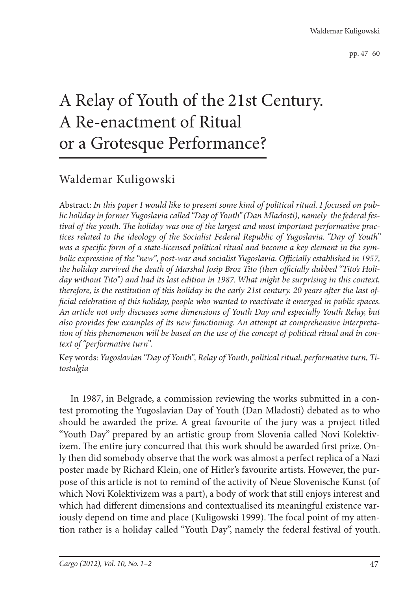pp. 47–60

## A Relay of Youth of the 21st Century. A Re-enactment of Ritual or a Grotesque Performance?

## Waldemar Kuligowski

Abstract: *In this paper I would like to present some kind of political ritual. I focused on public holiday in former Yugoslavia called "Day of Youth" (Dan Mladosti), namely the federal fes*tival of the youth. The holiday was one of the largest and most important performative prac*tices related to the ideology of the Socialist Federal Republic of Yugoslavia. "Day of Youth"*  was a specific form of a state-licensed political ritual and become a key element in the symbolic expression of the "new", post-war and socialist Yugoslavia. Officially established in 1957, the holiday survived the death of Marshal Josip Broz Tito (then officially dubbed "Tito's Holi*day without Tito") and had its last edition in 1987. What might be surprising in this context,*  therefore, is the restitution of this holiday in the early 21st century. 20 years after the last of*ficial celebration of this holiday, people who wanted to reactivate it emerged in public spaces. An article not only discusses some dimensions of Youth Day and especially Youth Relay, but also provides few examples of its new functioning. An attempt at comprehensive interpretation of this phenomenon will be based on the use of the concept of political ritual and in context of "performative turn".*

Key words: *Yugoslavian "Day of Youth", Relay of Youth, political ritual, performative turn, Titostalgia*

In 1987, in Belgrade, a commission reviewing the works submitted in a contest promoting the Yugoslavian Day of Youth (Dan Mladosti) debated as to who should be awarded the prize. A great favourite of the jury was a project titled "Youth Day" prepared by an artistic group from Slovenia called Novi Kolektivizem. The entire jury concurred that this work should be awarded first prize. Only then did somebody observe that the work was almost a perfect replica of a Nazi poster made by Richard Klein, one of Hitler's favourite artists. However, the purpose of this article is not to remind of the activity of Neue Slovenische Kunst (of which Novi Kolektivizem was a part), a body of work that still enjoys interest and which had different dimensions and contextualised its meaningful existence variously depend on time and place (Kuligowski 1999). The focal point of my attention rather is a holiday called "Youth Day", namely the federal festival of youth.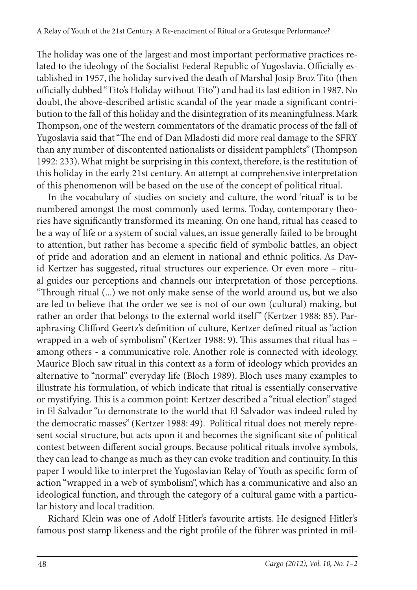The holiday was one of the largest and most important performative practices related to the ideology of the Socialist Federal Republic of Yugoslavia. Officially established in 1957, the holiday survived the death of Marshal Josip Broz Tito (then officially dubbed "Tito's Holiday without Tito") and had its last edition in 1987. No doubt, the above-described artistic scandal of the year made a significant contribution to the fall of this holiday and the disintegration of its meaningfulness. Mark Thompson, one of the western commentators of the dramatic process of the fall of Yugoslavia said that "The end of Dan Mladosti did more real damage to the SFRY than any number of discontented nationalists or dissident pamphlets" (Thompson 1992: 233). What might be surprising in this context, therefore, is the restitution of this holiday in the early 21st century. An attempt at comprehensive interpretation of this phenomenon will be based on the use of the concept of political ritual.

In the vocabulary of studies on society and culture, the word 'ritual' is to be numbered amongst the most commonly used terms. Today, contemporary theories have significantly transformed its meaning. On one hand, ritual has ceased to be a way of life or a system of social values, an issue generally failed to be brought to attention, but rather has become a specific field of symbolic battles, an object of pride and adoration and an element in national and ethnic politics. As David Kertzer has suggested, ritual structures our experience. Or even more – ritual guides our perceptions and channels our interpretation of those perceptions. "Through ritual (...) we not only make sense of the world around us, but we also are led to believe that the order we see is not of our own (cultural) making, but rather an order that belongs to the external world itself" (Kertzer 1988: 85). Paraphrasing Clifford Geertz's definition of culture, Kertzer defined ritual as "action wrapped in a web of symbolism" (Kertzer 1988: 9). This assumes that ritual has among others - a communicative role. Another role is connected with ideology. Maurice Bloch saw ritual in this context as a form of ideology which provides an alternative to "normal" everyday life (Bloch 1989). Bloch uses many examples to illustrate his formulation, of which indicate that ritual is essentially conservative or mystifying. This is a common point: Kertzer described a "ritual election" staged in El Salvador "to demonstrate to the world that El Salvador was indeed ruled by the democratic masses" (Kertzer 1988: 49). Political ritual does not merely represent social structure, but acts upon it and becomes the significant site of political contest between different social groups. Because political rituals involve symbols, they can lead to change as much as they can evoke tradition and continuity. In this paper I would like to interpret the Yugoslavian Relay of Youth as specific form of action "wrapped in a web of symbolism", which has a communicative and also an ideological function, and through the category of a cultural game with a particular history and local tradition.

Richard Klein was one of Adolf Hitler's favourite artists. He designed Hitler's famous post stamp likeness and the right profile of the führer was printed in mil-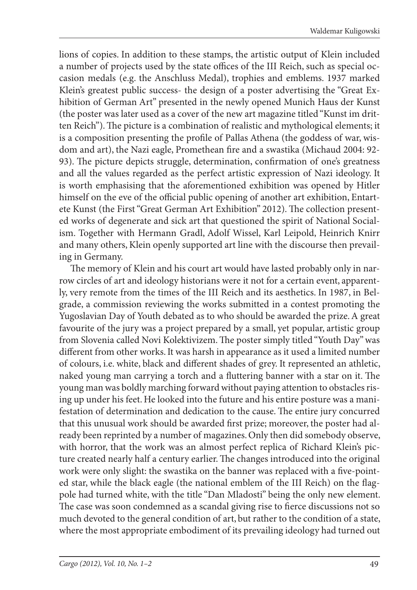lions of copies. In addition to these stamps, the artistic output of Klein included a number of projects used by the state offices of the III Reich, such as special occasion medals (e.g. the Anschluss Medal), trophies and emblems. 1937 marked Klein's greatest public success- the design of a poster advertising the "Great Exhibition of German Art" presented in the newly opened Munich Haus der Kunst (the poster was later used as a cover of the new art magazine titled "Kunst im dritten Reich"). The picture is a combination of realistic and mythological elements; it is a composition presenting the profile of Pallas Athena (the goddess of war, wisdom and art), the Nazi eagle, Promethean fire and a swastika (Michaud 2004: 92-93). The picture depicts struggle, determination, confirmation of one's greatness and all the values regarded as the perfect artistic expression of Nazi ideology. It is worth emphasising that the aforementioned exhibition was opened by Hitler himself on the eve of the official public opening of another art exhibition, Entartete Kunst (the First "Great German Art Exhibition" 2012). The collection presented works of degenerate and sick art that questioned the spirit of National Socialism. Together with Hermann Gradl, Adolf Wissel, Karl Leipold, Heinrich Knirr and many others, Klein openly supported art line with the discourse then prevailing in Germany.

The memory of Klein and his court art would have lasted probably only in narrow circles of art and ideology historians were it not for a certain event, apparently, very remote from the times of the III Reich and its aesthetics. In 1987, in Belgrade, a commission reviewing the works submitted in a contest promoting the Yugoslavian Day of Youth debated as to who should be awarded the prize. A great favourite of the jury was a project prepared by a small, yet popular, artistic group from Slovenia called Novi Kolektivizem. The poster simply titled "Youth Day" was different from other works. It was harsh in appearance as it used a limited number of colours, i.e. white, black and different shades of grey. It represented an athletic, naked young man carrying a torch and a fluttering banner with a star on it. The young man was boldly marching forward without paying attention to obstacles rising up under his feet. He looked into the future and his entire posture was a manifestation of determination and dedication to the cause. The entire jury concurred that this unusual work should be awarded first prize; moreover, the poster had already been reprinted by a number of magazines. Only then did somebody observe, with horror, that the work was an almost perfect replica of Richard Klein's picture created nearly half a century earlier. The changes introduced into the original work were only slight: the swastika on the banner was replaced with a five-pointed star, while the black eagle (the national emblem of the III Reich) on the flagpole had turned white, with the title "Dan Mladosti" being the only new element. The case was soon condemned as a scandal giving rise to fierce discussions not so much devoted to the general condition of art, but rather to the condition of a state, where the most appropriate embodiment of its prevailing ideology had turned out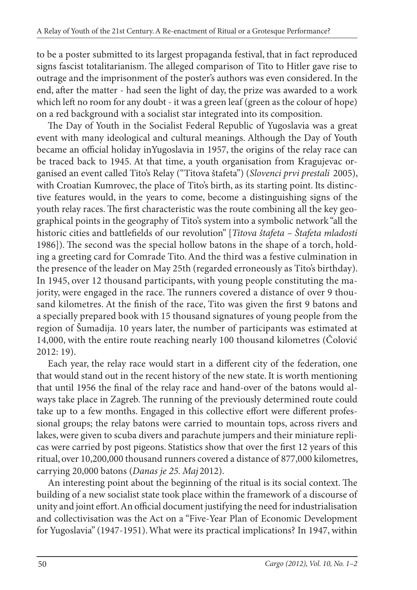to be a poster submitted to its largest propaganda festival, that in fact reproduced signs fascist totalitarianism. The alleged comparison of Tito to Hitler gave rise to outrage and the imprisonment of the poster's authors was even considered. In the end, after the matter - had seen the light of day, the prize was awarded to a work which left no room for any doubt - it was a green leaf (green as the colour of hope) on a red background with a socialist star integrated into its composition.

The Day of Youth in the Socialist Federal Republic of Yugoslavia was a great event with many ideological and cultural meanings. Although the Day of Youth became an official holiday inYugoslavia in 1957, the origins of the relay race can be traced back to 1945. At that time, a youth organisation from Kragujevac organised an event called Tito's Relay ("Titova štafeta") (*Slovenci prvi prestali* 2005), with Croatian Kumrovec, the place of Tito's birth, as its starting point. Its distinctive features would, in the years to come, become a distinguishing signs of the youth relay races. The first characteristic was the route combining all the key geographical points in the geography of Tito's system into a symbolic network "all the historic cities and battlefields of our revolution" [*Titova štafeta - Štafeta mladosti* 1986]). The second was the special hollow batons in the shape of a torch, holding a greeting card for Comrade Tito. And the third was a festive culmination in the presence of the leader on May 25th (regarded erroneously as Tito's birthday). In 1945, over 12 thousand participants, with young people constituting the majority, were engaged in the race. The runners covered a distance of over 9 thousand kilometres. At the finish of the race, Tito was given the first 9 batons and a specially prepared book with 15 thousand signatures of young people from the region of Šumadija. 10 years later, the number of participants was estimated at 14,000, with the entire route reaching nearly 100 thousand kilometres (Čolović 2012: 19).

Each year, the relay race would start in a different city of the federation, one that would stand out in the recent history of the new state. It is worth mentioning that until 1956 the final of the relay race and hand-over of the batons would always take place in Zagreb. The running of the previously determined route could take up to a few months. Engaged in this collective effort were different professional groups; the relay batons were carried to mountain tops, across rivers and lakes, were given to scuba divers and parachute jumpers and their miniature replicas were carried by post pigeons. Statistics show that over the first 12 years of this ritual, over 10,200,000 thousand runners covered a distance of 877,000 kilometres, carrying 20,000 batons (*Danas je 25. Maj* 2012).

An interesting point about the beginning of the ritual is its social context. The building of a new socialist state took place within the framework of a discourse of unity and joint effort. An official document justifying the need for industrialisation and collectivisation was the Act on a "Five-Year Plan of Economic Development for Yugoslavia" (1947-1951). What were its practical implications? In 1947, within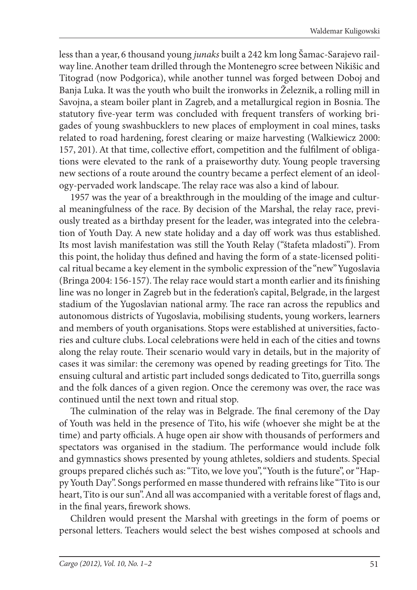less than a year, 6 thousand young *junaks* built a 242 km long Šamac-Sarajevo railway line. Another team drilled through the Montenegro scree between Nikišic and Titograd (now Podgorica), while another tunnel was forged between Doboj and Banja Luka. It was the youth who built the ironworks in Železnik, a rolling mill in Savojna, a steam boiler plant in Zagreb, and a metallurgical region in Bosnia. The statutory five-year term was concluded with frequent transfers of working brigades of young swashbucklers to new places of employment in coal mines, tasks related to road hardening, forest clearing or maize harvesting (Walkiewicz 2000: 157, 201). At that time, collective effort, competition and the fulfilment of obligations were elevated to the rank of a praiseworthy duty. Young people traversing new sections of a route around the country became a perfect element of an ideology-pervaded work landscape. The relay race was also a kind of labour.

1957 was the year of a breakthrough in the moulding of the image and cultural meaningfulness of the race. By decision of the Marshal, the relay race, previously treated as a birthday present for the leader, was integrated into the celebration of Youth Day. A new state holiday and a day off work was thus established. Its most lavish manifestation was still the Youth Relay ("štafeta mladosti"). From this point, the holiday thus defined and having the form of a state-licensed political ritual became a key element in the symbolic expression of the "new" Yugoslavia (Bringa 2004: 156-157). The relay race would start a month earlier and its finishing line was no longer in Zagreb but in the federation's capital, Belgrade, in the largest stadium of the Yugoslavian national army. The race ran across the republics and autonomous districts of Yugoslavia, mobilising students, young workers, learners and members of youth organisations. Stops were established at universities, factories and culture clubs. Local celebrations were held in each of the cities and towns along the relay route. Their scenario would vary in details, but in the majority of cases it was similar: the ceremony was opened by reading greetings for Tito. The ensuing cultural and artistic part included songs dedicated to Tito, guerrilla songs and the folk dances of a given region. Once the ceremony was over, the race was continued until the next town and ritual stop.

The culmination of the relay was in Belgrade. The final ceremony of the Day of Youth was held in the presence of Tito, his wife (whoever she might be at the time) and party officials. A huge open air show with thousands of performers and spectators was organised in the stadium. The performance would include folk and gymnastics shows presented by young athletes, soldiers and students. Special groups prepared clichés such as: "Tito, we love you", "Youth is the future", or "Happy Youth Day". Songs performed en masse thundered with refrains like "Tito is our heart, Tito is our sun". And all was accompanied with a veritable forest of flags and, in the final years, firework shows.

Children would present the Marshal with greetings in the form of poems or personal letters. Teachers would select the best wishes composed at schools and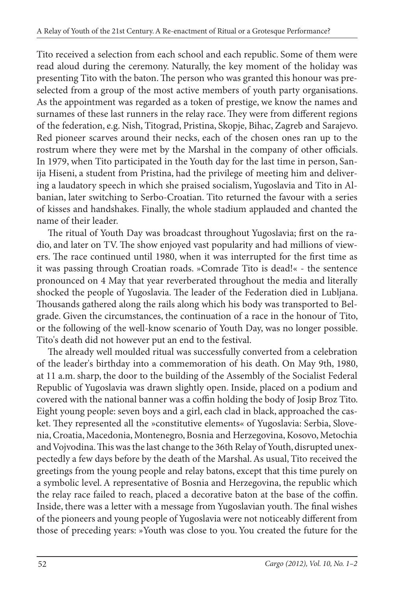Tito received a selection from each school and each republic. Some of them were read aloud during the ceremony. Naturally, the key moment of the holiday was presenting Tito with the baton. The person who was granted this honour was preselected from a group of the most active members of youth party organisations. As the appointment was regarded as a token of prestige, we know the names and surnames of these last runners in the relay race. They were from different regions of the federation, e.g. Nish, Titograd, Pristina, Skopje, Bihac, Zagreb and Sarajevo. Red pioneer scarves around their necks, each of the chosen ones ran up to the rostrum where they were met by the Marshal in the company of other officials. In 1979, when Tito participated in the Youth day for the last time in person, Sanija Hiseni, a student from Pristina, had the privilege of meeting him and delivering a laudatory speech in which she praised socialism, Yugoslavia and Tito in Albanian, later switching to Serbo-Croatian. Tito returned the favour with a series of kisses and handshakes. Finally, the whole stadium applauded and chanted the name of their leader.

The ritual of Youth Day was broadcast throughout Yugoslavia; first on the radio, and later on TV. The show enjoyed vast popularity and had millions of viewers. The race continued until 1980, when it was interrupted for the first time as it was passing through Croatian roads. »Comrade Tito is dead!« - the sentence pronounced on 4 May that year reverberated throughout the media and literally shocked the people of Yugoslavia. The leader of the Federation died in Lubljana. Thousands gathered along the rails along which his body was transported to Belgrade. Given the circumstances, the continuation of a race in the honour of Tito, or the following of the well-know scenario of Youth Day, was no longer possible. Tito's death did not however put an end to the festival.

The already well moulded ritual was successfully converted from a celebration of the leader's birthday into a commemoration of his death. On May 9th, 1980, at 11 a.m. sharp, the door to the building of the Assembly of the Socialist Federal Republic of Yugoslavia was drawn slightly open. Inside, placed on a podium and covered with the national banner was a coffin holding the body of Josip Broz Tito. Eight young people: seven boys and a girl, each clad in black, approached the casket. They represented all the »constitutive elements« of Yugoslavia: Serbia, Slovenia, Croatia, Macedonia, Montenegro, Bosnia and Herzegovina, Kosovo, Metochia and Vojvodina. This was the last change to the 36th Relay of Youth, disrupted unexpectedly a few days before by the death of the Marshal. As usual, Tito received the greetings from the young people and relay batons, except that this time purely on a symbolic level. A representative of Bosnia and Herzegovina, the republic which the relay race failed to reach, placed a decorative baton at the base of the coffin. Inside, there was a letter with a message from Yugoslavian youth. The final wishes of the pioneers and young people of Yugoslavia were not noticeably different from those of preceding years: »Youth was close to you. You created the future for the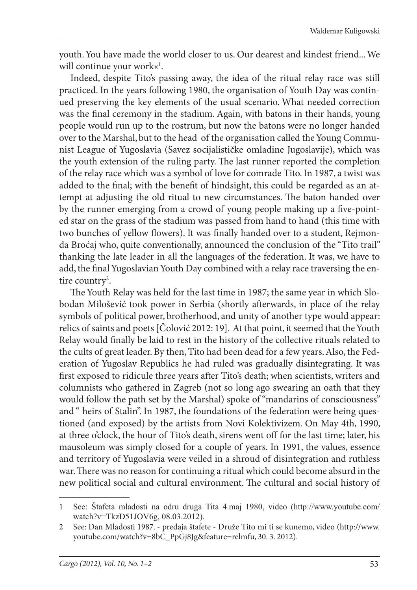youth. You have made the world closer to us. Our dearest and kindest friend... We will continue your work«<sup>1</sup>.

Indeed, despite Tito's passing away, the idea of the ritual relay race was still practiced. In the years following 1980, the organisation of Youth Day was continued preserving the key elements of the usual scenario. What needed correction was the final ceremony in the stadium. Again, with batons in their hands, young people would run up to the rostrum, but now the batons were no longer handed over to the Marshal, but to the head of the organisation called the Young Communist League of Yugoslavia (Savez socijalističke omladine Jugoslavije), which was the youth extension of the ruling party. The last runner reported the completion of the relay race which was a symbol of love for comrade Tito. In 1987, a twist was added to the final; with the benefit of hindsight, this could be regarded as an attempt at adjusting the old ritual to new circumstances. The baton handed over by the runner emerging from a crowd of young people making up a five-pointed star on the grass of the stadium was passed from hand to hand (this time with two bunches of yellow flowers). It was finally handed over to a student, Rejmonda Broćaj who, quite conventionally, announced the conclusion of the "Tito trail" thanking the late leader in all the languages of the federation. It was, we have to add, the final Yugoslavian Youth Day combined with a relay race traversing the entire country<sup>2</sup>.

The Youth Relay was held for the last time in 1987; the same year in which Slobodan Milošević took power in Serbia (shortly afterwards, in place of the relay symbols of political power, brotherhood, and unity of another type would appear: relics of saints and poets [Čolović 2012: 19]. At that point, it seemed that the Youth Relay would finally be laid to rest in the history of the collective rituals related to the cults of great leader. By then, Tito had been dead for a few years. Also, the Federation of Yugoslav Republics he had ruled was gradually disintegrating. It was first exposed to ridicule three years after Tito's death; when scientists, writers and columnists who gathered in Zagreb (not so long ago swearing an oath that they would follow the path set by the Marshal) spoke of "mandarins of consciousness" and " heirs of Stalin". In 1987, the foundations of the federation were being questioned (and exposed) by the artists from Novi Kolektivizem. On May 4th, 1990, at three o'clock, the hour of Tito's death, sirens went off for the last time; later, his mausoleum was simply closed for a couple of years. In 1991, the values, essence and territory of Yugoslavia were veiled in a shroud of disintegration and ruthless war. There was no reason for continuing a ritual which could become absurd in the new political social and cultural environment. The cultural and social history of

<sup>1</sup> See: Štafeta mladosti na odru druga Tita 4.maj 1980, video (http://www.youtube.com/ watch?v=TkzD51JOV6g, 08.03.2012).

<sup>2</sup> See: Dan Mladosti 1987. - predaja štafete - Druže Tito mi ti se kunemo, video (http://www. youtube.com/watch?v=8bC\_PpGj8Jg&feature=relmfu, 30. 3. 2012).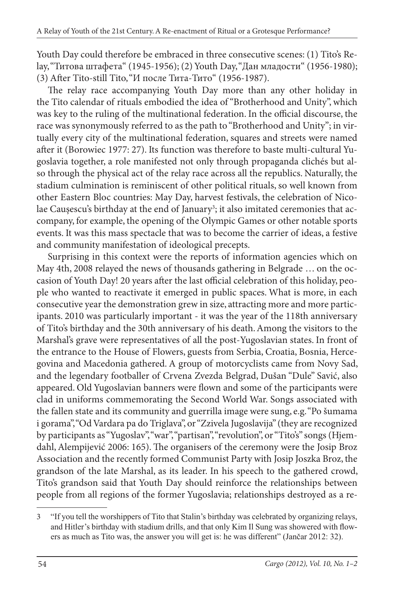Youth Day could therefore be embraced in three consecutive scenes: (1) Tito's Relay, "Титова штафета" (1945-1956); (2) Youth Day, "Дан младости" (1956-1980); (3) After Tito-still Tito, "И после Тита-Тито" (1956-1987).

The relay race accompanying Youth Day more than any other holiday in the Tito calendar of rituals embodied the idea of "Brotherhood and Unity", which was key to the ruling of the multinational federation. In the official discourse, the race was synonymously referred to as the path to "Brotherhood and Unity"; in virtually every city of the multinational federation, squares and streets were named after it (Borowiec 1977: 27). Its function was therefore to baste multi-cultural Yugoslavia together, a role manifested not only through propaganda clichés but also through the physical act of the relay race across all the republics. Naturally, the stadium culmination is reminiscent of other political rituals, so well known from other Eastern Bloc countries: May Day, harvest festivals, the celebration of Nicolae Caușescu's birthday at the end of January<sup>3</sup>; it also imitated ceremonies that accompany, for example, the opening of the Olympic Games or other notable sports events. It was this mass spectacle that was to become the carrier of ideas, a festive and community manifestation of ideological precepts.

Surprising in this context were the reports of information agencies which on May 4th, 2008 relayed the news of thousands gathering in Belgrade … on the occasion of Youth Day! 20 years after the last official celebration of this holiday, people who wanted to reactivate it emerged in public spaces. What is more, in each consecutive year the demonstration grew in size, attracting more and more participants. 2010 was particularly important - it was the year of the 118th anniversary of Tito's birthday and the 30th anniversary of his death. Among the visitors to the Marshal's grave were representatives of all the post-Yugoslavian states. In front of the entrance to the House of Flowers, guests from Serbia, Croatia, Bosnia, Hercegovina and Macedonia gathered. A group of motorcyclists came from Novy Sad, and the legendary footballer of Crvena Zvezda Belgrad, Dušan "Dule" Savić, also appeared. Old Yugoslavian banners were flown and some of the participants were clad in uniforms commemorating the Second World War. Songs associated with the fallen state and its community and guerrilla image were sung, e.g. "Po šumama i gorama", "Od Vardara pa do Triglava", or "Zzivela Jugoslavija" (they are recognized by participants as "Yugoslav", "war", "partisan", "revolution", or "Tito's" songs (Hjemdahl, Alempijević 2006: 165). The organisers of the ceremony were the Josip Broz Association and the recently formed Communist Party with Josip Joszka Broz, the grandson of the late Marshal, as its leader. In his speech to the gathered crowd, Tito's grandson said that Youth Day should reinforce the relationships between people from all regions of the former Yugoslavia; relationships destroyed as a re-

<sup>3</sup> "If you tell the worshippers of Tito that Stalin's birthday was celebrated by organizing relays, and Hitler's birthday with stadium drills, and that only Kim Il Sung was showered with flowers as much as Tito was, the answer you will get is: he was different" (Jančar 2012: 32).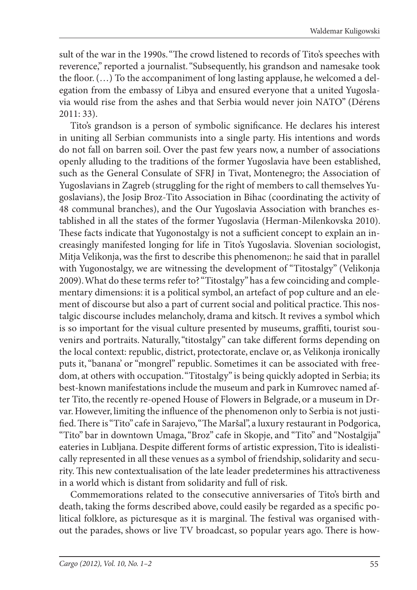sult of the war in the 1990s. "The crowd listened to records of Tito's speeches with reverence," reported a journalist. "Subsequently, his grandson and namesake took the floor.  $(...)$  To the accompaniment of long lasting applause, he welcomed a delegation from the embassy of Libya and ensured everyone that a united Yugoslavia would rise from the ashes and that Serbia would never join NATO" (Dérens 2011: 33).

Tito's grandson is a person of symbolic significance. He declares his interest in uniting all Serbian communists into a single party. His intentions and words do not fall on barren soil. Over the past few years now, a number of associations openly alluding to the traditions of the former Yugoslavia have been established, such as the General Consulate of SFRJ in Tivat, Montenegro; the Association of Yugoslavians in Zagreb (struggling for the right of members to call themselves Yugoslavians), the Josip Broz-Tito Association in Bihac (coordinating the activity of 48 communal branches), and the Our Yugoslavia Association with branches established in all the states of the former Yugoslavia (Herman-Milenkovska 2010). These facts indicate that Yugonostalgy is not a sufficient concept to explain an increasingly manifested longing for life in Tito's Yugoslavia. Slovenian sociologist, Mitja Velikonja, was the first to describe this phenomenon;: he said that in parallel with Yugonostalgy, we are witnessing the development of "Titostalgy" (Velikonja 2009). What do these terms refer to? "Titostalgy" has a few coinciding and complementary dimensions: it is a political symbol, an artefact of pop culture and an element of discourse but also a part of current social and political practice. This nostalgic discourse includes melancholy, drama and kitsch. It revives a symbol which is so important for the visual culture presented by museums, graffiti, tourist souvenirs and portraits. Naturally, "titostalgy" can take different forms depending on the local context: republic, district, protectorate, enclave or, as Velikonja ironically puts it, "banana' or "mongrel" republic. Sometimes it can be associated with freedom, at others with occupation. "Titostalgy" is being quickly adopted in Serbia; its best-known manifestations include the museum and park in Kumrovec named after Tito, the recently re-opened House of Flowers in Belgrade, or a museum in Drvar. However, limiting the influence of the phenomenon only to Serbia is not justified. There is "Tito" cafe in Sarajevo, "The Maršal", a luxury restaurant in Podgorica, "Tito" bar in downtown Umaga, "Broz" cafe in Skopje, and "Tito" and "Nostalgija" eateries in Lubljana. Despite different forms of artistic expression, Tito is idealistically represented in all these venues as a symbol of friendship, solidarity and security. This new contextualisation of the late leader predetermines his attractiveness in a world which is distant from solidarity and full of risk.

Commemorations related to the consecutive anniversaries of Tito's birth and death, taking the forms described above, could easily be regarded as a specific political folklore, as picturesque as it is marginal. The festival was organised without the parades, shows or live TV broadcast, so popular years ago. There is how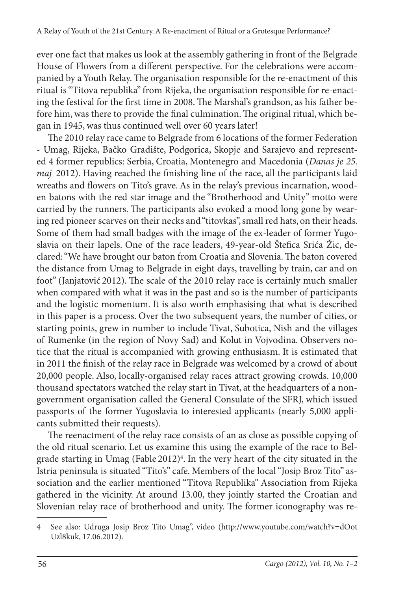ever one fact that makes us look at the assembly gathering in front of the Belgrade House of Flowers from a different perspective. For the celebrations were accompanied by a Youth Relay. The organisation responsible for the re-enactment of this ritual is "Titova republika" from Rijeka, the organisation responsible for re-enacting the festival for the first time in 2008. The Marshal's grandson, as his father before him, was there to provide the final culmination. The original ritual, which began in 1945, was thus continued well over 60 years later!

The 2010 relay race came to Belgrade from 6 locations of the former Federation - Umag, Rijeka, Bačko Gradište, Podgorica, Skopje and Sarajevo and represented 4 former republics: Serbia, Croatia, Montenegro and Macedonia (*Danas je 25. maj* 2012). Having reached the finishing line of the race, all the participants laid wreaths and flowers on Tito's grave. As in the relay's previous incarnation, wooden batons with the red star image and the "Brotherhood and Unity" motto were carried by the runners. The participants also evoked a mood long gone by wearing red pioneer scarves on their necks and "titovkas", small red hats, on their heads. Some of them had small badges with the image of the ex-leader of former Yugoslavia on their lapels. One of the race leaders, 49-year-old Štefica Srića Žic, declared: "We have brought our baton from Croatia and Slovenia. The baton covered the distance from Umag to Belgrade in eight days, travelling by train, car and on foot" (Janjatović 2012). The scale of the 2010 relay race is certainly much smaller when compared with what it was in the past and so is the number of participants and the logistic momentum. It is also worth emphasising that what is described in this paper is a process. Over the two subsequent years, the number of cities, or starting points, grew in number to include Tivat, Subotica, Nish and the villages of Rumenke (in the region of Novy Sad) and Kolut in Vojvodina. Observers notice that the ritual is accompanied with growing enthusiasm. It is estimated that in 2011 the finish of the relay race in Belgrade was welcomed by a crowd of about 20,000 people. Also, locally-organised relay races attract growing crowds. 10,000 thousand spectators watched the relay start in Tivat, at the headquarters of a nongovernment organisation called the General Consulate of the SFRJ, which issued passports of the former Yugoslavia to interested applicants (nearly 5,000 applicants submitted their requests).

The reenactment of the relay race consists of an as close as possible copying of the old ritual scenario. Let us examine this using the example of the race to Belgrade starting in Umag (Fable 2012)<sup>4</sup>. In the very heart of the city situated in the Istria peninsula is situated "Tito's" cafe. Members of the local "Josip Broz Tito" association and the earlier mentioned "Titova Republika" Association from Rijeka gathered in the vicinity. At around 13.00, they jointly started the Croatian and Slovenian relay race of brotherhood and unity. The former iconography was re-

<sup>4</sup> See also: Udruga Josip Broz Tito Umag", video (http://www.youtube.com/watch?v=dOot Uzl8kuk, 17.06.2012).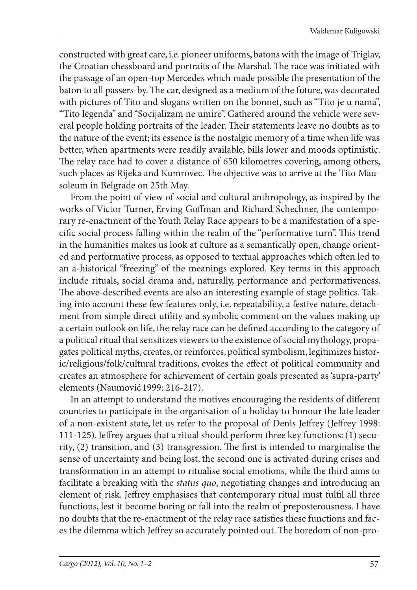constructed with great care, i.e. pioneer uniforms, batons with the image of Triglav, the Croatian chessboard and portraits of the Marshal. The race was initiated with the passage of an open-top Mercedes which made possible the presentation of the baton to all passers-by. The car, designed as a medium of the future, was decorated with pictures of Tito and slogans written on the bonnet, such as "Tito je u nama", "Tito legenda" and "Socijalizam ne umire". Gathered around the vehicle were several people holding portraits of the leader. Their statements leave no doubts as to the nature of the event; its essence is the nostalgic memory of a time when life was better, when apartments were readily available, bills lower and moods optimistic. The relay race had to cover a distance of 650 kilometres covering, among others, such places as Rijeka and Kumrovec. The objective was to arrive at the Tito Mausoleum in Belgrade on 25th May.

From the point of view of social and cultural anthropology, as inspired by the works of Victor Turner, Erving Goffman and Richard Schechner, the contemporary re-enactment of the Youth Relay Race appears to be a manifestation of a specific social process falling within the realm of the "performative turn". This trend in the humanities makes us look at culture as a semantically open, change oriented and performative process, as opposed to textual approaches which often led to an a-historical "freezing" of the meanings explored. Key terms in this approach include rituals, social drama and, naturally, performance and performativeness. The above-described events are also an interesting example of stage politics. Taking into account these few features only, i.e. repeatability, a festive nature, detachment from simple direct utility and symbolic comment on the values making up a certain outlook on life, the relay race can be defined according to the category of a political ritual that sensitizes viewers to the existence of social mythology, propagates political myths, creates, or reinforces, political symbolism, legitimizes historic/religious/folk/cultural traditions, evokes the effect of political community and creates an atmosphere for achievement of certain goals presented as 'supra-party' elements (Naumović 1999: 216-217).

In an attempt to understand the motives encouraging the residents of different countries to participate in the organisation of a holiday to honour the late leader of a non-existent state, let us refer to the proposal of Denis Jeffrey (Jeffrey 1998: 111-125). Jeffrey argues that a ritual should perform three key functions: (1) security,  $(2)$  transition, and  $(3)$  transgression. The first is intended to marginalise the sense of uncertainty and being lost, the second one is activated during crises and transformation in an attempt to ritualise social emotions, while the third aims to facilitate a breaking with the *status quo*, negotiating changes and introducing an element of risk. Jeffrey emphasises that contemporary ritual must fulfil all three functions, lest it become boring or fall into the realm of preposterousness. I have no doubts that the re-enactment of the relay race satisfies these functions and faces the dilemma which Jeffrey so accurately pointed out. The boredom of non-pro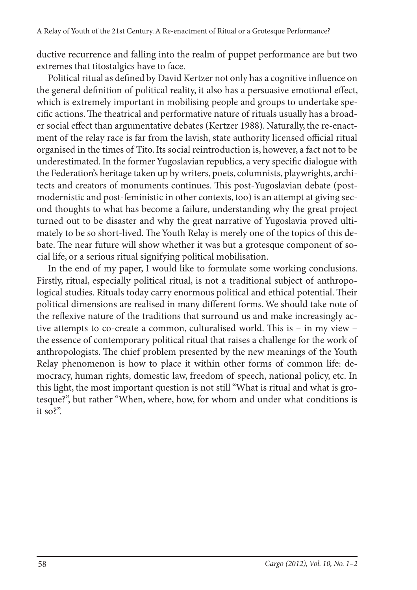ductive recurrence and falling into the realm of puppet performance are but two extremes that titostalgics have to face.

Political ritual as defined by David Kertzer not only has a cognitive influence on the general definition of political reality, it also has a persuasive emotional effect, which is extremely important in mobilising people and groups to undertake specific actions. The theatrical and performative nature of rituals usually has a broader social effect than argumentative debates (Kertzer 1988). Naturally, the re-enactment of the relay race is far from the lavish, state authority licensed official ritual organised in the times of Tito. Its social reintroduction is, however, a fact not to be underestimated. In the former Yugoslavian republics, a very specific dialogue with the Federation's heritage taken up by writers, poets, columnists, playwrights, architects and creators of monuments continues. This post-Yugoslavian debate (postmodernistic and post-feministic in other contexts, too) is an attempt at giving second thoughts to what has become a failure, understanding why the great project turned out to be disaster and why the great narrative of Yugoslavia proved ultimately to be so short-lived. The Youth Relay is merely one of the topics of this debate. The near future will show whether it was but a grotesque component of social life, or a serious ritual signifying political mobilisation.

In the end of my paper, I would like to formulate some working conclusions. Firstly, ritual, especially political ritual, is not a traditional subject of anthropological studies. Rituals today carry enormous political and ethical potential. Their political dimensions are realised in many different forms. We should take note of the reflexive nature of the traditions that surround us and make increasingly active attempts to co-create a common, culturalised world. This is  $-$  in my view  $$ the essence of contemporary political ritual that raises a challenge for the work of anthropologists. The chief problem presented by the new meanings of the Youth Relay phenomenon is how to place it within other forms of common life: democracy, human rights, domestic law, freedom of speech, national policy, etc. In this light, the most important question is not still "What is ritual and what is grotesque?", but rather "When, where, how, for whom and under what conditions is it so?".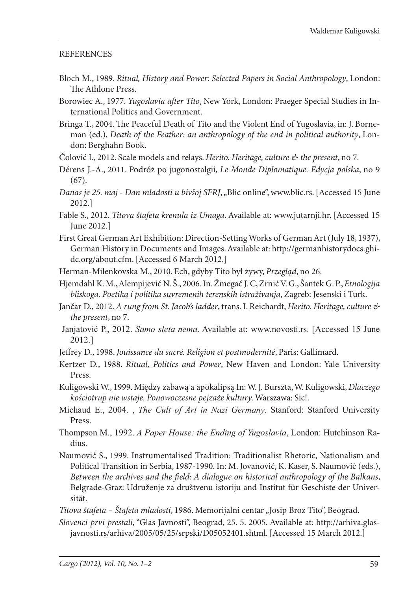## **REFERENCES**

- Bloch M., 1989. *Ritual, History and Power: Selected Papers in Social Anthropology*, London: The Athlone Press.
- Borowiec A., 1977. *Yugoslavia after Tito*, New York, London: Praeger Special Studies in International Politics and Government.
- Bringa T., 2004. The Peaceful Death of Tito and the Violent End of Yugoslavia, in: J. Borneman (ed.), *Death of the Feather: an anthropology of the end in political authority*, London: Berghahn Book.
- Čolović I., 2012. Scale models and relays. *Herito. Heritage, culture & the present*, no 7.
- Dérens J.-A., 2011. Podróż po jugonostalgii, *Le Monde Diplomatique. Edycja polska*, no 9 (67).
- *Danas je 25. maj Dan mladosti u bivšoj SFRJ*, "Blic online", www.blic.rs. [Accessed 15 June 2012.]
- Fable S., 2012. *Titova štafeta krenula iz Umaga*. Available at: www.jutarnji.hr. [Accessed 15 June 2012.]
- First Great German Art Exhibition: Direction-Setting Works of German Art (July 18, 1937), German History in Documents and Images. Available at: http://germanhistorydocs.ghidc.org/about.cfm. [Accessed 6 March 2012.]
- Herman-Milenkovska M., 2010. Ech, gdyby Tito był żywy, *Przegląd*, no 26.
- Hjemdahl K. M., Alempijević N. Š., 2006. In. Žmegač J. C, Zrnić V. G., Šantek G. P., *Etnologija bliskoga. Poetika i politika suvremenih terenskih istraživanja*, Zagreb: Jesenski i Turk.
- Jančar D., 2012. *A rung from St. Jacob's ladder*, trans. I. Reichardt, *Herito. Heritage, culture & the present*, no 7.
- Janjatović P., 2012. *Samo sleta nema*. Available at: www.novosti.rs. [Accessed 15 June 2012.]
- Jeffrey D., 1998. *Jouissance du sacré. Religion et postmodernité*, Paris: Gallimard.
- Kertzer D., 1988. *Ritual, Politics and Power*, New Haven and London: Yale University Press.
- Kuligowski W., 1999. Między zabawą a apokalipsą In: W. J. Burszta, W. Kuligowski, *Dlaczego kościotrup nie wstaje. Ponowoczesne pejzaże kultury*. Warszawa: Sic!.
- Michaud E., 2004. , *The Cult of Art in Nazi Germany*. Stanford: Stanford University Press.
- Thompson M., 1992. *A Paper House: the Ending of Yugoslavia*, London: Hutchinson Radius.
- Naumović S., 1999. Instrumentalised Tradition: Traditionalist Rhetoric, Nationalism and Political Transition in Serbia, 1987-1990. In: M. Jovanović, K. Kaser, S. Naumović (eds.), *Between the archives and the field: A dialogue on historical anthropology of the Balkans,* Belgrade-Graz: Udruženje za društvenu istoriju and Institut für Geschiste der Universität.

*Titova štafeta – Štafeta mladosti*, 1986. Memorijalni centar "Josip Broz Tito", Beograd.

*Slovenci prvi prestali*, "Glas Javnosti", Beograd, 25. 5. 2005. Available at: http://arhiva.glasjavnosti.rs/arhiva/2005/05/25/srpski/D05052401.shtml. [Accessed 15 March 2012.]